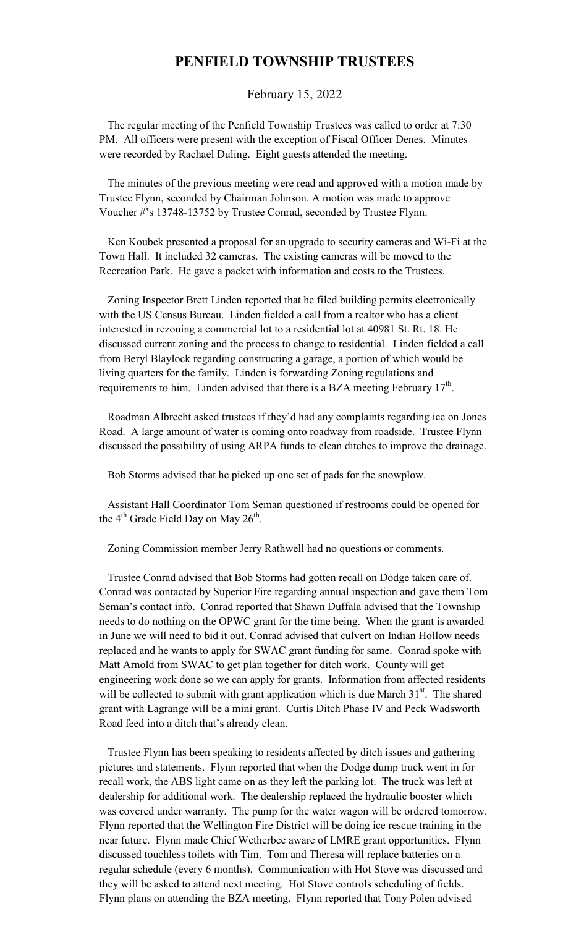## **PENFIELD TOWNSHIP TRUSTEES**

February 15, 2022

 The regular meeting of the Penfield Township Trustees was called to order at 7:30 PM. All officers were present with the exception of Fiscal Officer Denes. Minutes were recorded by Rachael Duling. Eight guests attended the meeting.

 The minutes of the previous meeting were read and approved with a motion made by Trustee Flynn, seconded by Chairman Johnson. A motion was made to approve Voucher #'s 13748-13752 by Trustee Conrad, seconded by Trustee Flynn.

 Ken Koubek presented a proposal for an upgrade to security cameras and Wi-Fi at the Town Hall. It included 32 cameras. The existing cameras will be moved to the Recreation Park. He gave a packet with information and costs to the Trustees.

 Zoning Inspector Brett Linden reported that he filed building permits electronically with the US Census Bureau. Linden fielded a call from a realtor who has a client interested in rezoning a commercial lot to a residential lot at 40981 St. Rt. 18. He discussed current zoning and the process to change to residential. Linden fielded a call from Beryl Blaylock regarding constructing a garage, a portion of which would be living quarters for the family. Linden is forwarding Zoning regulations and requirements to him. Linden advised that there is a BZA meeting February  $17<sup>th</sup>$ .

 Roadman Albrecht asked trustees if they'd had any complaints regarding ice on Jones Road. A large amount of water is coming onto roadway from roadside. Trustee Flynn discussed the possibility of using ARPA funds to clean ditches to improve the drainage.

Bob Storms advised that he picked up one set of pads for the snowplow.

 Assistant Hall Coordinator Tom Seman questioned if restrooms could be opened for the  $4<sup>th</sup>$  Grade Field Day on May  $26<sup>th</sup>$ .

Zoning Commission member Jerry Rathwell had no questions or comments.

 Trustee Conrad advised that Bob Storms had gotten recall on Dodge taken care of. Conrad was contacted by Superior Fire regarding annual inspection and gave them Tom Seman's contact info. Conrad reported that Shawn Duffala advised that the Township needs to do nothing on the OPWC grant for the time being. When the grant is awarded in June we will need to bid it out. Conrad advised that culvert on Indian Hollow needs replaced and he wants to apply for SWAC grant funding for same. Conrad spoke with Matt Arnold from SWAC to get plan together for ditch work. County will get engineering work done so we can apply for grants. Information from affected residents will be collected to submit with grant application which is due March  $31<sup>st</sup>$ . The shared grant with Lagrange will be a mini grant. Curtis Ditch Phase IV and Peck Wadsworth Road feed into a ditch that's already clean.

 Trustee Flynn has been speaking to residents affected by ditch issues and gathering pictures and statements. Flynn reported that when the Dodge dump truck went in for recall work, the ABS light came on as they left the parking lot. The truck was left at dealership for additional work. The dealership replaced the hydraulic booster which was covered under warranty. The pump for the water wagon will be ordered tomorrow. Flynn reported that the Wellington Fire District will be doing ice rescue training in the near future. Flynn made Chief Wetherbee aware of LMRE grant opportunities. Flynn discussed touchless toilets with Tim. Tom and Theresa will replace batteries on a regular schedule (every 6 months). Communication with Hot Stove was discussed and they will be asked to attend next meeting. Hot Stove controls scheduling of fields. Flynn plans on attending the BZA meeting. Flynn reported that Tony Polen advised